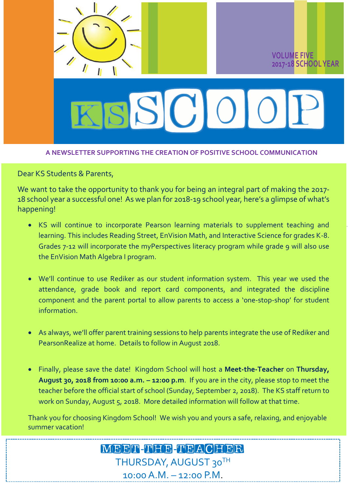

### **A NEWSLETTER SUPPORTING THE CREATION OF POSITIVE SCHOOL COMMUNICATION**

Dear KS Students & Parents,

We want to take the opportunity to thank you for being an integral part of making the 2017-18 school year a successful one! As we plan for 2018-19 school year, here's a glimpse of what's happening!

- KS will continue to incorporate Pearson learning materials to supplement teaching and learning. This includes Reading Street, EnVision Math, and Interactive Science for grades K-8. Grades 7-12 will incorporate the myPerspectives literacy program while grade 9 will also use the EnVision Math Algebra I program.
- We'll continue to use Rediker as our student information system. This year we used the attendance, grade book and report card components, and integrated the discipline component and the parent portal to allow parents to access a 'one-stop-shop' for student information.
- As always, we'll offer parent training sessions to help parents integrate the use of Rediker and PearsonRealize at home. Details to follow in August 2018.
- Finally, please save the date! Kingdom School will host a **Meet-the-Teacher** on **Thursday, August 30, 2018 from 10:00 a.m. – 12:00 p.m**. If you are in the city, please stop to meet the teacher before the official start of school (Sunday, September 2, 2018). The KS staff return to work on Sunday, August 5, 2018. More detailed information will follow at that time.

Thank you for choosing Kingdom School! We wish you and yours a safe, relaxing, and enjoyable summer vacation!

### MEET-NEB-NBACHER THURSDAY, AUGUST 30TH 10:00 A.M. – 12:00 P.M.